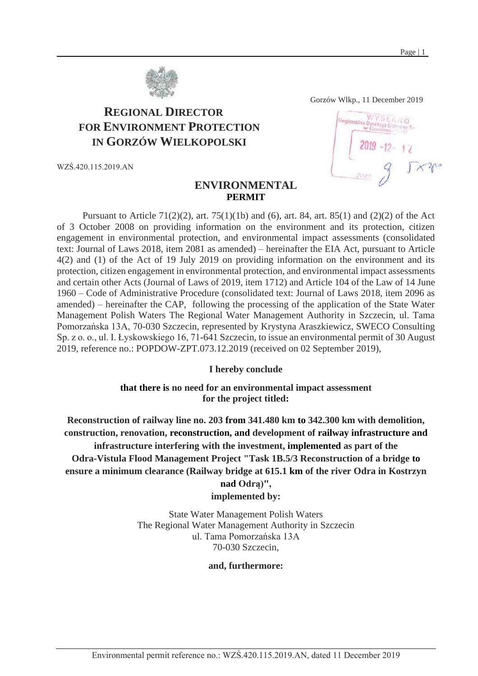

# **REGIONAL DIRECTOR FOR ENVIRONMENT PROTECTION IN GORZÓW WIELKOPOLSKI**

WZŚ.420.115.2019.AN

# Regionalno D

Gorzów Wlkp., 11 December 2019

## **ENVIRONMENTAL PERMIT**

Pursuant to Article 71(2)(2), art. 75(1)(1b) and (6), art. 84, art. 85(1) and (2)(2) of the Act of 3 October 2008 on providing information on the environment and its protection, citizen engagement in environmental protection, and environmental impact assessments (consolidated text: Journal of Laws 2018, item 2081 as amended) – hereinafter the EIA Act, pursuant to Article 4(2) and (1) of the Act of 19 July 2019 on providing information on the environment and its protection, citizen engagement in environmental protection, and environmental impact assessments and certain other Acts (Journal of Laws of 2019, item 1712) and Article 104 of the Law of 14 June 1960 – Code of Administrative Procedure (consolidated text: Journal of Laws 2018, item 2096 as amended) – hereinafter the CAP, following the processing of the application of the State Water Management Polish Waters The Regional Water Management Authority in Szczecin, ul. Tama Pomorzańska 13A, 70-030 Szczecin, represented by Krystyna Araszkiewicz, SWECO Consulting Sp. z o. o., ul. I. Łyskowskiego 16, 71-641 Szczecin, to issue an environmental permit of 30 August 2019, reference no.: POPDOW-ZPT.073.12.2019 (received on 02 September 2019),

#### **I hereby conclude**

**that there is no need for an environmental impact assessment for the project titled:**

**Reconstruction of railway line no. 203 from 341.480 km to 342.300 km with demolition, construction, renovation, reconstruction, and development of railway infrastructure and infrastructure interfering with the investment, implemented as part of the Odra-Vistula Flood Management Project "Task 1B.5/3 Reconstruction of a bridge to ensure a minimum clearance (Railway bridge at 615.1 km of the river Odra in Kostrzyn** 

# **nad Odrą)",**

## **implemented by:**

State Water Management Polish Waters The Regional Water Management Authority in Szczecin ul. Tama Pomorzańska 13A 70-030 Szczecin,

#### **and, furthermore:**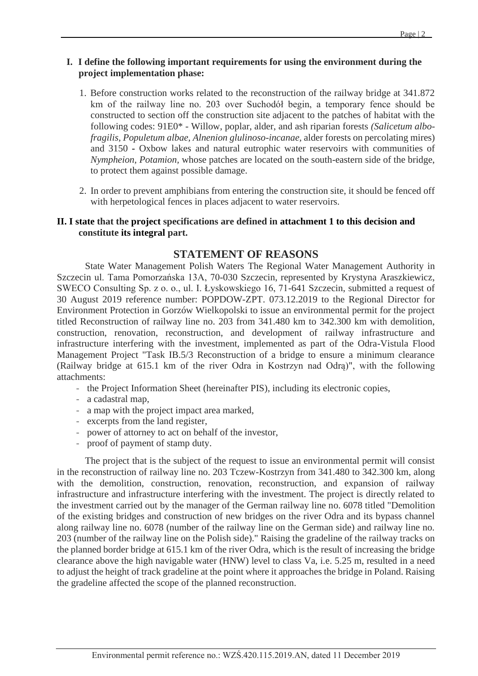# **I. I define the following important requirements for using the environment during the project implementation phase:**

- 1. Before construction works related to the reconstruction of the railway bridge at 341.872 km of the railway line no. 203 over Suchodół begin, a temporary fence should be constructed to section off the construction site adjacent to the patches of habitat with the following codes: 91E0\* - Willow, poplar, alder, and ash riparian forests *(Salicetum albofragilis, Populetum albae, Alnenion glulinoso-incanae,* alder forests on percolating mires) and 3150 - Oxbow lakes and natural eutrophic water reservoirs with communities of *Nympheion, Potamion,* whose patches are located on the south-eastern side of the bridge, to protect them against possible damage.
- 2. In order to prevent amphibians from entering the construction site, it should be fenced off with herpetological fences in places adjacent to water reservoirs.

## **II. I state that the project specifications are defined in attachment 1 to this decision and constitute its integral part.**

# **STATEMENT OF REASONS**

State Water Management Polish Waters The Regional Water Management Authority in Szczecin ul. Tama Pomorzańska 13A, 70-030 Szczecin, represented by Krystyna Araszkiewicz, SWECO Consulting Sp. z o. o., ul. I. Łyskowskiego 16, 71-641 Szczecin, submitted a request of 30 August 2019 reference number: POPDOW-ZPT. 073.12.2019 to the Regional Director for Environment Protection in Gorzów Wielkopolski to issue an environmental permit for the project titled Reconstruction of railway line no. 203 from 341.480 km to 342.300 km with demolition, construction, renovation, reconstruction, and development of railway infrastructure and infrastructure interfering with the investment, implemented as part of the Odra-Vistula Flood Management Project "Task IB.5/3 Reconstruction of a bridge to ensure a minimum clearance (Railway bridge at 615.1 km of the river Odra in Kostrzyn nad Odrą)", with the following attachments:

- the Project Information Sheet (hereinafter PIS), including its electronic copies,
- a cadastral map,
- a map with the project impact area marked,
- excerpts from the land register,
- power of attorney to act on behalf of the investor,
- proof of payment of stamp duty.

The project that is the subject of the request to issue an environmental permit will consist in the reconstruction of railway line no. 203 Tczew-Kostrzyn from 341.480 to 342.300 km, along with the demolition, construction, renovation, reconstruction, and expansion of railway infrastructure and infrastructure interfering with the investment. The project is directly related to the investment carried out by the manager of the German railway line no. 6078 titled "Demolition of the existing bridges and construction of new bridges on the river Odra and its bypass channel along railway line no. 6078 (number of the railway line on the German side) and railway line no. 203 (number of the railway line on the Polish side)." Raising the gradeline of the railway tracks on the planned border bridge at 615.1 km of the river Odra, which is the result of increasing the bridge clearance above the high navigable water (HNW) level to class Va, i.e. 5.25 m, resulted in a need to adjust the height of track gradeline at the point where it approaches the bridge in Poland. Raising the gradeline affected the scope of the planned reconstruction.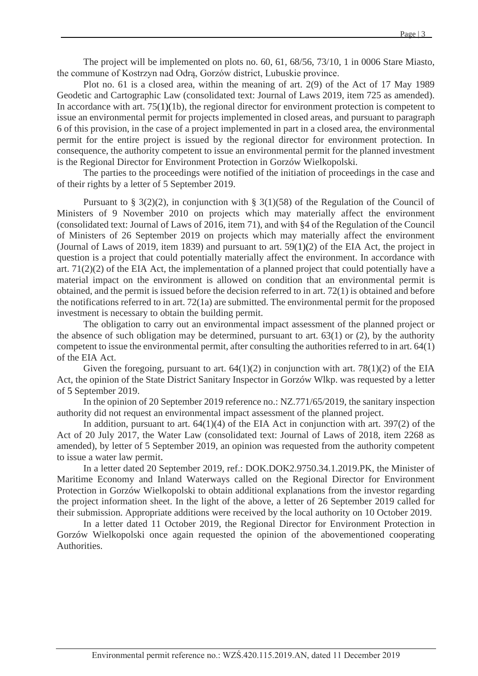The project will be implemented on plots no. 60, 61, 68/56, 73/10, 1 in 0006 Stare Miasto, the commune of Kostrzyn nad Odrą, Gorzów district, Lubuskie province.

Plot no. 61 is a closed area, within the meaning of art. 2(9) of the Act of 17 May 1989 Geodetic and Cartographic Law (consolidated text: Journal of Laws 2019, item 725 as amended). In accordance with art. 75(1)(1b), the regional director for environment protection is competent to issue an environmental permit for projects implemented in closed areas, and pursuant to paragraph 6 of this provision, in the case of a project implemented in part in a closed area, the environmental permit for the entire project is issued by the regional director for environment protection. In consequence, the authority competent to issue an environmental permit for the planned investment is the Regional Director for Environment Protection in Gorzów Wielkopolski.

The parties to the proceedings were notified of the initiation of proceedings in the case and of their rights by a letter of 5 September 2019.

Pursuant to § 3(2)(2), in conjunction with § 3(1)(58) of the Regulation of the Council of Ministers of 9 November 2010 on projects which may materially affect the environment (consolidated text: Journal of Laws of 2016, item 71), and with §4 of the Regulation of the Council of Ministers of 26 September 2019 on projects which may materially affect the environment (Journal of Laws of 2019, item 1839) and pursuant to art. 59(1)(2) of the EIA Act, the project in question is a project that could potentially materially affect the environment. In accordance with art. 71(2)(2) of the EIA Act, the implementation of a planned project that could potentially have a material impact on the environment is allowed on condition that an environmental permit is obtained, and the permit is issued before the decision referred to in art. 72(1) is obtained and before the notifications referred to in art. 72(1a) are submitted. The environmental permit for the proposed investment is necessary to obtain the building permit.

The obligation to carry out an environmental impact assessment of the planned project or the absence of such obligation may be determined, pursuant to art.  $63(1)$  or (2), by the authority competent to issue the environmental permit, after consulting the authorities referred to in art. 64(1) of the EIA Act.

Given the foregoing, pursuant to art.  $64(1)(2)$  in conjunction with art.  $78(1)(2)$  of the EIA Act, the opinion of the State District Sanitary Inspector in Gorzów Wlkp. was requested by a letter of 5 September 2019.

In the opinion of 20 September 2019 reference no.: NZ.771/65/2019, the sanitary inspection authority did not request an environmental impact assessment of the planned project.

In addition, pursuant to art.  $64(1)(4)$  of the EIA Act in conjunction with art. 397(2) of the Act of 20 July 2017, the Water Law (consolidated text: Journal of Laws of 2018, item 2268 as amended), by letter of 5 September 2019, an opinion was requested from the authority competent to issue a water law permit.

In a letter dated 20 September 2019, ref.: DOK.DOK2.9750.34.1.2019.PK, the Minister of Maritime Economy and Inland Waterways called on the Regional Director for Environment Protection in Gorzów Wielkopolski to obtain additional explanations from the investor regarding the project information sheet. In the light of the above, a letter of 26 September 2019 called for their submission. Appropriate additions were received by the local authority on 10 October 2019.

In a letter dated 11 October 2019, the Regional Director for Environment Protection in Gorzów Wielkopolski once again requested the opinion of the abovementioned cooperating Authorities.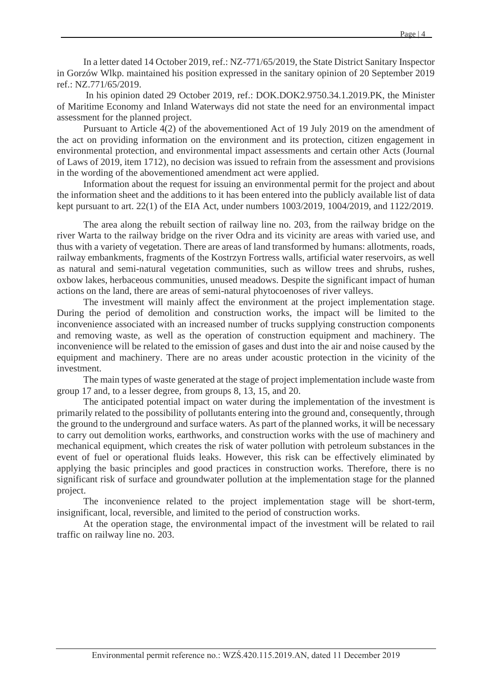In a letter dated 14 October 2019, ref.: NZ-771/65/2019, the State District Sanitary Inspector in Gorzów Wlkp. maintained his position expressed in the sanitary opinion of 20 September 2019 ref.: NZ.771/65/2019.

In his opinion dated 29 October 2019, ref.: DOK.DOK2.9750.34.1.2019.PK, the Minister of Maritime Economy and Inland Waterways did not state the need for an environmental impact assessment for the planned project.

Pursuant to Article 4(2) of the abovementioned Act of 19 July 2019 on the amendment of the act on providing information on the environment and its protection, citizen engagement in environmental protection, and environmental impact assessments and certain other Acts (Journal of Laws of 2019, item 1712), no decision was issued to refrain from the assessment and provisions in the wording of the abovementioned amendment act were applied.

Information about the request for issuing an environmental permit for the project and about the information sheet and the additions to it has been entered into the publicly available list of data kept pursuant to art. 22(1) of the EIA Act, under numbers 1003/2019, 1004/2019, and 1122/2019.

The area along the rebuilt section of railway line no. 203, from the railway bridge on the river Warta to the railway bridge on the river Odra and its vicinity are areas with varied use, and thus with a variety of vegetation. There are areas of land transformed by humans: allotments, roads, railway embankments, fragments of the Kostrzyn Fortress walls, artificial water reservoirs, as well as natural and semi-natural vegetation communities, such as willow trees and shrubs, rushes, oxbow lakes, herbaceous communities, unused meadows. Despite the significant impact of human actions on the land, there are areas of semi-natural phytocoenoses of river valleys.

The investment will mainly affect the environment at the project implementation stage. During the period of demolition and construction works, the impact will be limited to the inconvenience associated with an increased number of trucks supplying construction components and removing waste, as well as the operation of construction equipment and machinery. The inconvenience will be related to the emission of gases and dust into the air and noise caused by the equipment and machinery. There are no areas under acoustic protection in the vicinity of the investment.

The main types of waste generated at the stage of project implementation include waste from group 17 and, to a lesser degree, from groups 8, 13, 15, and 20.

The anticipated potential impact on water during the implementation of the investment is primarily related to the possibility of pollutants entering into the ground and, consequently, through the ground to the underground and surface waters. As part of the planned works, it will be necessary to carry out demolition works, earthworks, and construction works with the use of machinery and mechanical equipment, which creates the risk of water pollution with petroleum substances in the event of fuel or operational fluids leaks. However, this risk can be effectively eliminated by applying the basic principles and good practices in construction works. Therefore, there is no significant risk of surface and groundwater pollution at the implementation stage for the planned project.

The inconvenience related to the project implementation stage will be short-term, insignificant, local, reversible, and limited to the period of construction works.

At the operation stage, the environmental impact of the investment will be related to rail traffic on railway line no. 203.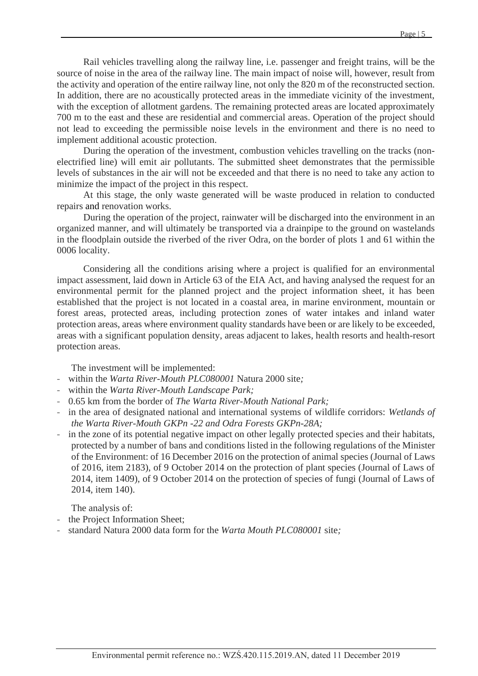Rail vehicles travelling along the railway line, i.e. passenger and freight trains, will be the source of noise in the area of the railway line. The main impact of noise will, however, result from the activity and operation of the entire railway line, not only the 820 m of the reconstructed section. In addition, there are no acoustically protected areas in the immediate vicinity of the investment, with the exception of allotment gardens. The remaining protected areas are located approximately 700 m to the east and these are residential and commercial areas. Operation of the project should not lead to exceeding the permissible noise levels in the environment and there is no need to implement additional acoustic protection.

During the operation of the investment, combustion vehicles travelling on the tracks (nonelectrified line) will emit air pollutants. The submitted sheet demonstrates that the permissible levels of substances in the air will not be exceeded and that there is no need to take any action to minimize the impact of the project in this respect.

At this stage, the only waste generated will be waste produced in relation to conducted repairs and renovation works.

During the operation of the project, rainwater will be discharged into the environment in an organized manner, and will ultimately be transported via a drainpipe to the ground on wastelands in the floodplain outside the riverbed of the river Odra, on the border of plots 1 and 61 within the 0006 locality.

Considering all the conditions arising where a project is qualified for an environmental impact assessment, laid down in Article 63 of the EIA Act, and having analysed the request for an environmental permit for the planned project and the project information sheet, it has been established that the project is not located in a coastal area, in marine environment, mountain or forest areas, protected areas, including protection zones of water intakes and inland water protection areas, areas where environment quality standards have been or are likely to be exceeded, areas with a significant population density, areas adjacent to lakes, health resorts and health-resort protection areas.

The investment will be implemented:

- within the *Warta River-Mouth PLC080001* Natura 2000 site*;*
- within the *Warta River-Mouth Landscape Park;*
- 0.65 km from the border of *The Warta River-Mouth National Park;*
- in the area of designated national and international systems of wildlife corridors: *Wetlands of the Warta River-Mouth GKPn -22 and Odra Forests GKPn-28A;*
- in the zone of its potential negative impact on other legally protected species and their habitats, protected by a number of bans and conditions listed in the following regulations of the Minister of the Environment: of 16 December 2016 on the protection of animal species (Journal of Laws of 2016, item 2183), of 9 October 2014 on the protection of plant species (Journal of Laws of 2014, item 1409), of 9 October 2014 on the protection of species of fungi (Journal of Laws of 2014, item 140).

The analysis of:

- the Project Information Sheet;
- standard Natura 2000 data form for the *Warta Mouth PLC080001* site*;*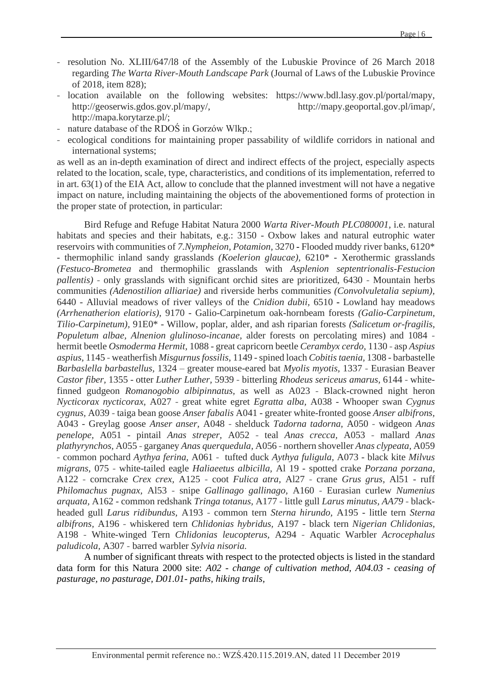- resolution No. XLIII/647/l8 of the Assembly of the Lubuskie Province of 26 March 2018 regarding *The Warta River-Mouth Landscape Park* (Journal of Laws of the Lubuskie Province of 2018, item 828);
- location available on the following websites: [https://www.bdl.lasy.gov.pl/portal/mapy,](https://www.bdl.lasy.gov.pl/portal/mapy) [http://geoserwis.gdos.gov.pl/mapy/,](http://geoserwis.gdos.gov.pl/mapy/) [http://mapy.geoportal.gov.pl/imap/,](http://mapy.geoportal.gov.pl/imap/) http://mapa.korytarze.pl/;
- nature database of the RDOS in Gorzów Wlkp.;
- ecological conditions for maintaining proper passability of wildlife corridors in national and international systems;

as well as an in-depth examination of direct and indirect effects of the project, especially aspects related to the location, scale, type, characteristics, and conditions of its implementation, referred to in art. 63(1) of the EIA Act, allow to conclude that the planned investment will not have a negative impact on nature, including maintaining the objects of the abovementioned forms of protection in the proper state of protection, in particular:

Bird Refuge and Refuge Habitat Natura 2000 *Warta River-Mouth PLC080001,* i.e. natural habitats and species and their habitats, e.g.: 3150 - Oxbow lakes and natural eutrophic water reservoirs with communities of *7.Nympheion, Potamion,* 3270 - Flooded muddy river banks, 6120\* - thermophilic inland sandy grasslands *(Koelerion glaucae),* 6210\* - Xerothermic grasslands *(Festuco-Brometea* and thermophilic grasslands with *Asplenion septentrionalis-Festucion pallentis) -* only grasslands with significant orchid sites are prioritized, 6430 - Mountain herbs communities *(Adenostilion alliariae)* and riverside herbs communities *(Convolvuletalia sepium),* 6440 - Alluvial meadows of river valleys of the *Cnidion dubii,* 6510 - Lowland hay meadows *(Arrhenatherion elatioris),* 9170 - Galio-Carpinetum oak-hornbeam forests *(Galio-Carpinetum, Tilio-Carpinetum),* 91E0\* - Willow, poplar, alder, and ash riparian forests *(Salicetum or-fragilis, Populetum albae, Alnenion glulinoso-incanae,* alder forests on percolating mires) and 1084 hermit beetle *Osmoderma Hermit,* 1088 - great capricorn beetle *Cerambyx cerdo,* 1130 - asp *Aspius aspius,* 1145 - weatherfish *Misgurnus fossilis,* 1149 -spined loach *Cobitis taenia,* 1308 - barbastelle *Barbaslella barbastellus,* 1324 – greater mouse-eared bat *Myolis myotis,* 1337 - Eurasian Beaver *Castor fiber,* 1355 - otter *Luther Luther,* 5939 - bitterling *Rhodeus sericeus amarus,* 6144 - whitefinned gudgeon *Romanogobio albipinnatus,* as well as A023 - Black-crowned night heron *Nycticorax nycticorax,* A027 - great white egret *Egratta alba,* A038 - Whooper swan *Cygnus cygnus,* A039 - taiga bean goose *Anser fabalis* A041 - greater white-fronted goose *Anser albifrons,* A043 - Greylag goose *Anser anser,* A048 - shelduck *Tadorna tadorna,* A050 - widgeon *Anas penelope,* A051 - pintail *Anas streper,* A052 - teal *Anas crecca,* A053 - mallard *Anas plathyrynchos,* A055 - garganey *Anas querquedula,* A056 - northern shoveller *Anas clypeata,* A059 - common pochard *Aythya ferina,* A061 - tufted duck *Aythya fuligula,* A073 - black kite *Milvus migrans,* 075 - white-tailed eagle *Haliaeetus albicilla,* Al 19 - spotted crake *Porzana porzana,* A122 - corncrake *Crex crex,* A125 - coot *Fulica atra,* Al27 - crane *Grus grus,* Al51 - ruff *Philomachus pugnax,* Al53 - snipe *Gallinago gallinago,* A160 - Eurasian curlew *Numenius arquata,* A162 - common redshank *Tringa totanus,* A177 - little gull *Larus minutus, AA79 -* blackheaded gull *Larus ridibundus,* A193 - common tern *Sterna hirundo,* A195 - little tern *Sterna albifrons,* A196 - whiskered tern *Chlidonias hybridus,* A197 - black tern *Nigerian Chlidonias,* A198 - White-winged Tern *Chlidonias leucopterus,* A294 - Aquatic Warbler *Acrocephalus paludicola,* A307 - barred warbler *Sylvia nisoria.*

A number of significant threats with respect to the protected objects is listed in the standard data form for this Natura 2000 site: *A02 - change of cultivation method, A04.03 - ceasing of pasturage, no pasturage, D01.01- paths, hiking trails,*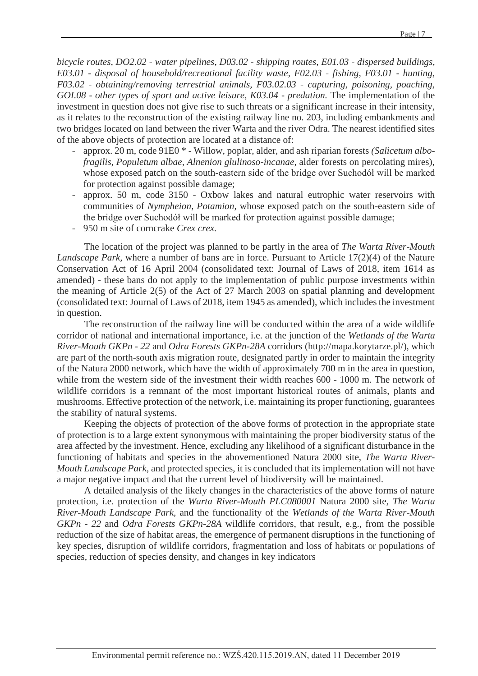*bicycle routes, DO2.02 - water pipelines, D03.02 - shipping routes, E01.03 - dispersed buildings, E03.01 - disposal of household/recreational facility waste, F02.03 - fishing, F03.01 - hunting, F03.02 - obtaining/removing terrestrial animals, F03.02.03 - capturing, poisoning, poaching, GOI.08 - other types of sport and active leisure, K03.04 - predation.* The implementation of the investment in question does not give rise to such threats or a significant increase in their intensity, as it relates to the reconstruction of the existing railway line no. 203, including embankments and two bridges located on land between the river Warta and the river Odra. The nearest identified sites of the above objects of protection are located at a distance of:

- approx. 20 m, code 91E0 \* Willow, poplar, alder, and ash riparian forests *(Salicetum albofragilis, Populetum albae, Alnenion glulinoso-incanae,* alder forests on percolating mires), whose exposed patch on the south-eastern side of the bridge over Suchodół will be marked for protection against possible damage;
- approx. 50 m, code 3150 Oxbow lakes and natural eutrophic water reservoirs with communities of *Nympheion, Potamion,* whose exposed patch on the south-eastern side of the bridge over Suchodół will be marked for protection against possible damage;
- 950 m site of corncrake *Crex crex.*

The location of the project was planned to be partly in the area of *The Warta River-Mouth Landscape Park,* where a number of bans are in force. Pursuant to Article 17(2)(4) of the Nature Conservation Act of 16 April 2004 (consolidated text: Journal of Laws of 2018, item 1614 as amended) - these bans do not apply to the implementation of public purpose investments within the meaning of Article 2(5) of the Act of 27 March 2003 on spatial planning and development (consolidated text: Journal of Laws of 2018, item 1945 as amended), which includes the investment in question.

The reconstruction of the railway line will be conducted within the area of a wide wildlife corridor of national and international importance, i.e. at the junction of the *Wetlands of the Warta River-Mouth GKPn - 22* and *Odra Forests GKPn-28A* corridors [\(http://mapa.korytarze.pl/\)](http://mapa.korytarze.pl/), which are part of the north-south axis migration route, designated partly in order to maintain the integrity of the Natura 2000 network, which have the width of approximately 700 m in the area in question, while from the western side of the investment their width reaches 600 - 1000 m. The network of wildlife corridors is a remnant of the most important historical routes of animals, plants and mushrooms. Effective protection of the network, i.e. maintaining its proper functioning, guarantees the stability of natural systems.

Keeping the objects of protection of the above forms of protection in the appropriate state of protection is to a large extent synonymous with maintaining the proper biodiversity status of the area affected by the investment. Hence, excluding any likelihood of a significant disturbance in the functioning of habitats and species in the abovementioned Natura 2000 site, *The Warta River-Mouth Landscape Park*, and protected species, it is concluded that its implementation will not have a major negative impact and that the current level of biodiversity will be maintained.

A detailed analysis of the likely changes in the characteristics of the above forms of nature protection, i.e. protection of the *Warta River-Mouth PLC080001* Natura 2000 site*, The Warta River-Mouth Landscape Park,* and the functionality of the *Wetlands of the Warta River-Mouth GKPn - 22* and *Odra Forests GKPn-28A* wildlife corridors, that result, e.g., from the possible reduction of the size of habitat areas, the emergence of permanent disruptions in the functioning of key species, disruption of wildlife corridors, fragmentation and loss of habitats or populations of species, reduction of species density, and changes in key indicators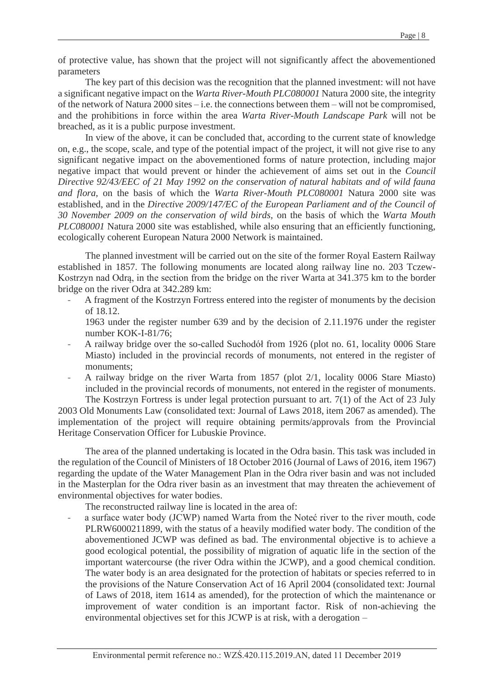of protective value, has shown that the project will not significantly affect the abovementioned parameters

The key part of this decision was the recognition that the planned investment: will not have a significant negative impact on the *Warta River-Mouth PLC080001* Natura 2000 site, the integrity of the network of Natura 2000 sites – i.e. the connections between them – will not be compromised, and the prohibitions in force within the area *Warta River-Mouth Landscape Park* will not be breached, as it is a public purpose investment.

In view of the above, it can be concluded that, according to the current state of knowledge on, e.g., the scope, scale, and type of the potential impact of the project, it will not give rise to any significant negative impact on the abovementioned forms of nature protection, including major negative impact that would prevent or hinder the achievement of aims set out in the *Council Directive 92/43/EEC of 21 May 1992 on the conservation of natural habitats and of wild fauna and flora,* on the basis of which the *Warta River-Mouth PLC080001* Natura 2000 site was established, and in the *Directive 2009/147/EC of the European Parliament and of the Council of 30 November 2009 on the conservation of wild birds,* on the basis of which the *Warta Mouth PLC080001* Natura 2000 site was established, while also ensuring that an efficiently functioning, ecologically coherent European Natura 2000 Network is maintained.

The planned investment will be carried out on the site of the former Royal Eastern Railway established in 1857. The following monuments are located along railway line no. 203 Tczew-Kostrzyn nad Odrą, in the section from the bridge on the river Warta at 341.375 km to the border bridge on the river Odra at 342.289 km:

A fragment of the Kostrzyn Fortress entered into the register of monuments by the decision of 18.12.

1963 under the register number 639 and by the decision of 2.11.1976 under the register number KOK-I-81/76;

- A railway bridge over the so-called Suchodół from 1926 (plot no. 61, locality 0006 Stare Miasto) included in the provincial records of monuments, not entered in the register of monuments;
- A railway bridge on the river Warta from 1857 (plot 2/1, locality 0006 Stare Miasto) included in the provincial records of monuments, not entered in the register of monuments. The Kostrzyn Fortress is under legal protection pursuant to art. 7(1) of the Act of 23 July

2003 Old Monuments Law (consolidated text: Journal of Laws 2018, item 2067 as amended). The implementation of the project will require obtaining permits/approvals from the Provincial Heritage Conservation Officer for Lubuskie Province.

The area of the planned undertaking is located in the Odra basin. This task was included in the regulation of the Council of Ministers of 18 October 2016 (Journal of Laws of 2016, item 1967) regarding the update of the Water Management Plan in the Odra river basin and was not included in the Masterplan for the Odra river basin as an investment that may threaten the achievement of environmental objectives for water bodies.

The reconstructed railway line is located in the area of:

a surface water body (JCWP) named Warta from the Noteć river to the river mouth, code PLRW6000211899, with the status of a heavily modified water body. The condition of the abovementioned JCWP was defined as bad. The environmental objective is to achieve a good ecological potential, the possibility of migration of aquatic life in the section of the important watercourse (the river Odra within the JCWP), and a good chemical condition. The water body is an area designated for the protection of habitats or species referred to in the provisions of the Nature Conservation Act of 16 April 2004 (consolidated text: Journal of Laws of 2018, item 1614 as amended), for the protection of which the maintenance or improvement of water condition is an important factor. Risk of non-achieving the environmental objectives set for this JCWP is at risk, with a derogation –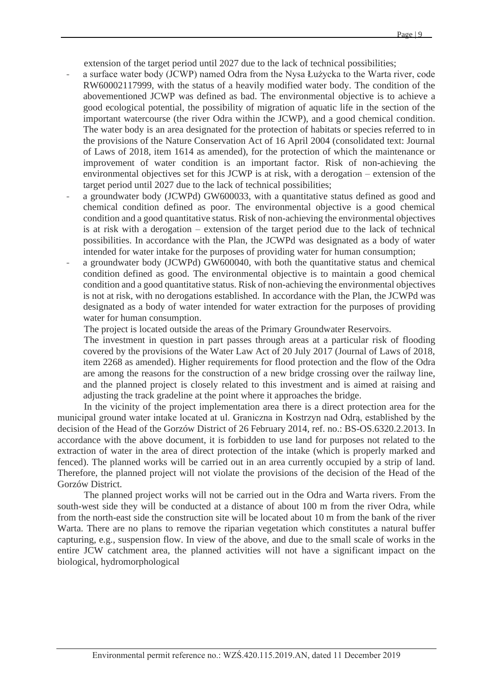extension of the target period until 2027 due to the lack of technical possibilities;

- a surface water body (JCWP) named Odra from the Nysa Łużycka to the Warta river, code RW60002117999, with the status of a heavily modified water body. The condition of the abovementioned JCWP was defined as bad. The environmental objective is to achieve a good ecological potential, the possibility of migration of aquatic life in the section of the important watercourse (the river Odra within the JCWP), and a good chemical condition. The water body is an area designated for the protection of habitats or species referred to in the provisions of the Nature Conservation Act of 16 April 2004 (consolidated text: Journal of Laws of 2018, item 1614 as amended), for the protection of which the maintenance or improvement of water condition is an important factor. Risk of non-achieving the environmental objectives set for this JCWP is at risk, with a derogation – extension of the target period until 2027 due to the lack of technical possibilities;
- a groundwater body (JCWPd) GW600033, with a quantitative status defined as good and chemical condition defined as poor. The environmental objective is a good chemical condition and a good quantitative status. Risk of non-achieving the environmental objectives is at risk with a derogation – extension of the target period due to the lack of technical possibilities. In accordance with the Plan, the JCWPd was designated as a body of water intended for water intake for the purposes of providing water for human consumption;
- a groundwater body (JCWPd) GW600040, with both the quantitative status and chemical condition defined as good. The environmental objective is to maintain a good chemical condition and a good quantitative status. Risk of non-achieving the environmental objectives is not at risk, with no derogations established. In accordance with the Plan, the JCWPd was designated as a body of water intended for water extraction for the purposes of providing water for human consumption.

The project is located outside the areas of the Primary Groundwater Reservoirs.

The investment in question in part passes through areas at a particular risk of flooding covered by the provisions of the Water Law Act of 20 July 2017 (Journal of Laws of 2018, item 2268 as amended). Higher requirements for flood protection and the flow of the Odra are among the reasons for the construction of a new bridge crossing over the railway line, and the planned project is closely related to this investment and is aimed at raising and adjusting the track gradeline at the point where it approaches the bridge.

In the vicinity of the project implementation area there is a direct protection area for the municipal ground water intake located at ul. Graniczna in Kostrzyn nad Odrą, established by the decision of the Head of the Gorzów District of 26 February 2014, ref. no.: BS-OS.6320.2.2013. In accordance with the above document, it is forbidden to use land for purposes not related to the extraction of water in the area of direct protection of the intake (which is properly marked and fenced). The planned works will be carried out in an area currently occupied by a strip of land. Therefore, the planned project will not violate the provisions of the decision of the Head of the Gorzów District.

The planned project works will not be carried out in the Odra and Warta rivers. From the south-west side they will be conducted at a distance of about 100 m from the river Odra, while from the north-east side the construction site will be located about 10 m from the bank of the river Warta. There are no plans to remove the riparian vegetation which constitutes a natural buffer capturing, e.g., suspension flow. In view of the above, and due to the small scale of works in the entire JCW catchment area, the planned activities will not have a significant impact on the biological, hydromorphological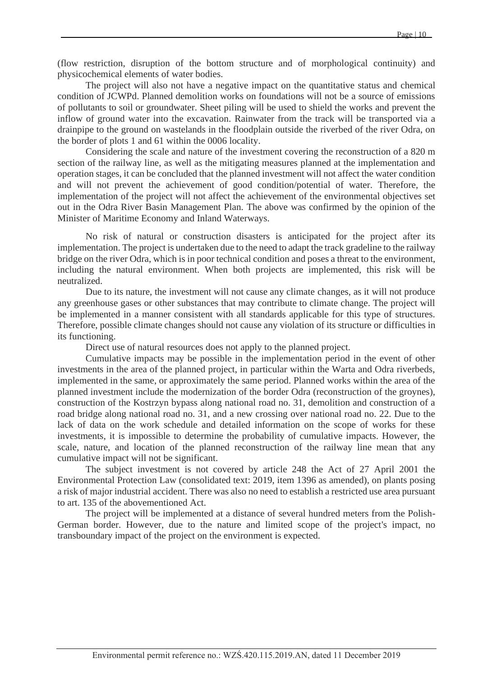(flow restriction, disruption of the bottom structure and of morphological continuity) and physicochemical elements of water bodies.

The project will also not have a negative impact on the quantitative status and chemical condition of JCWPd. Planned demolition works on foundations will not be a source of emissions of pollutants to soil or groundwater. Sheet piling will be used to shield the works and prevent the inflow of ground water into the excavation. Rainwater from the track will be transported via a drainpipe to the ground on wastelands in the floodplain outside the riverbed of the river Odra, on the border of plots 1 and 61 within the 0006 locality.

Considering the scale and nature of the investment covering the reconstruction of a 820 m section of the railway line, as well as the mitigating measures planned at the implementation and operation stages, it can be concluded that the planned investment will not affect the water condition and will not prevent the achievement of good condition/potential of water. Therefore, the implementation of the project will not affect the achievement of the environmental objectives set out in the Odra River Basin Management Plan. The above was confirmed by the opinion of the Minister of Maritime Economy and Inland Waterways.

No risk of natural or construction disasters is anticipated for the project after its implementation. The project is undertaken due to the need to adapt the track gradeline to the railway bridge on the river Odra, which is in poor technical condition and poses a threat to the environment, including the natural environment. When both projects are implemented, this risk will be neutralized.

Due to its nature, the investment will not cause any climate changes, as it will not produce any greenhouse gases or other substances that may contribute to climate change. The project will be implemented in a manner consistent with all standards applicable for this type of structures. Therefore, possible climate changes should not cause any violation of its structure or difficulties in its functioning.

Direct use of natural resources does not apply to the planned project.

Cumulative impacts may be possible in the implementation period in the event of other investments in the area of the planned project, in particular within the Warta and Odra riverbeds, implemented in the same, or approximately the same period. Planned works within the area of the planned investment include the modernization of the border Odra (reconstruction of the groynes), construction of the Kostrzyn bypass along national road no. 31, demolition and construction of a road bridge along national road no. 31, and a new crossing over national road no. 22. Due to the lack of data on the work schedule and detailed information on the scope of works for these investments, it is impossible to determine the probability of cumulative impacts. However, the scale, nature, and location of the planned reconstruction of the railway line mean that any cumulative impact will not be significant.

The subject investment is not covered by article 248 the Act of 27 April 2001 the Environmental Protection Law (consolidated text: 2019, item 1396 as amended), on plants posing a risk of major industrial accident. There was also no need to establish a restricted use area pursuant to art. 135 of the abovementioned Act.

The project will be implemented at a distance of several hundred meters from the Polish-German border. However, due to the nature and limited scope of the project's impact, no transboundary impact of the project on the environment is expected.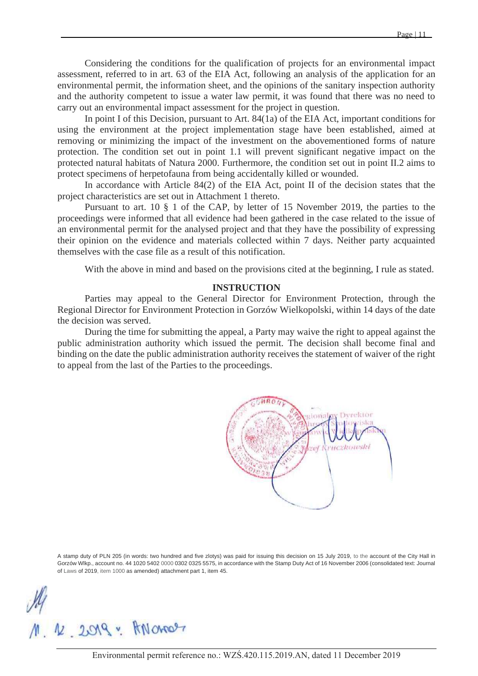Considering the conditions for the qualification of projects for an environmental impact assessment, referred to in art. 63 of the EIA Act, following an analysis of the application for an environmental permit, the information sheet, and the opinions of the sanitary inspection authority and the authority competent to issue a water law permit, it was found that there was no need to carry out an environmental impact assessment for the project in question.

In point I of this Decision, pursuant to Art. 84(1a) of the EIA Act, important conditions for using the environment at the project implementation stage have been established, aimed at removing or minimizing the impact of the investment on the abovementioned forms of nature protection. The condition set out in point 1.1 will prevent significant negative impact on the protected natural habitats of Natura 2000. Furthermore, the condition set out in point II.2 aims to protect specimens of herpetofauna from being accidentally killed or wounded.

In accordance with Article 84(2) of the EIA Act, point II of the decision states that the project characteristics are set out in Attachment 1 thereto.

Pursuant to art. 10 § 1 of the CAP, by letter of 15 November 2019, the parties to the proceedings were informed that all evidence had been gathered in the case related to the issue of an environmental permit for the analysed project and that they have the possibility of expressing their opinion on the evidence and materials collected within 7 days. Neither party acquainted themselves with the case file as a result of this notification.

With the above in mind and based on the provisions cited at the beginning, I rule as stated.

#### **INSTRUCTION**

Parties may appeal to the General Director for Environment Protection, through the Regional Director for Environment Protection in Gorzów Wielkopolski, within 14 days of the date the decision was served.

During the time for submitting the appeal, a Party may waive the right to appeal against the public administration authority which issued the permit. The decision shall become final and binding on the date the public administration authority receives the statement of waiver of the right to appeal from the last of the Parties to the proceedings.



A stamp duty of PLN 205 (in words: two hundred and five zlotys) was paid for issuing this decision on 15 July 2019, to the account of the City Hall in Gorzów Wlkp., account no. 44 1020 5402 0000 0302 0325 5575, in accordance with the Stamp Duty Act of 16 November 2006 (consolidated text: Journal of Laws of 2019, item 1000 as amended) attachment part 1, item 45.

12 2019 - ANONOS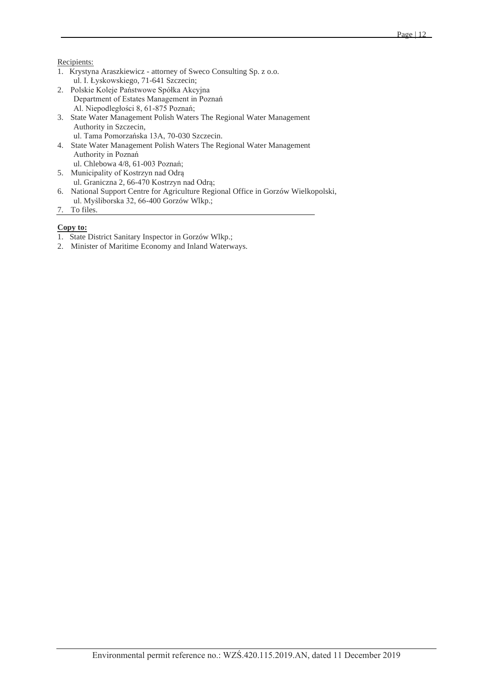#### Recipients:

- 1. Krystyna Araszkiewicz attorney of Sweco Consulting Sp. z o.o. ul. I. Łyskowskiego, 71-641 Szczecin;
- 2. Polskie Koleje Państwowe Spółka Akcyjna Department of Estates Management in Poznań Al. Niepodległości 8, 61-875 Poznań;
- 3. State Water Management Polish Waters The Regional Water Management Authority in Szczecin, ul. Tama Pomorzańska 13A, 70-030 Szczecin.
- 4. State Water Management Polish Waters The Regional Water Management Authority in Poznań ul. Chlebowa 4/8, 61-003 Poznań;
- 5. Municipality of Kostrzyn nad Odrą ul. Graniczna 2, 66-470 Kostrzyn nad Odrą;
- 6. National Support Centre for Agriculture Regional Office in Gorzów Wielkopolski, ul. Myśliborska 32, 66-400 Gorzów Wlkp.;
- 7. To files.

#### **Copy to:**

- 1. State District Sanitary Inspector in Gorzów Wlkp.;
- 2. Minister of Maritime Economy and Inland Waterways.